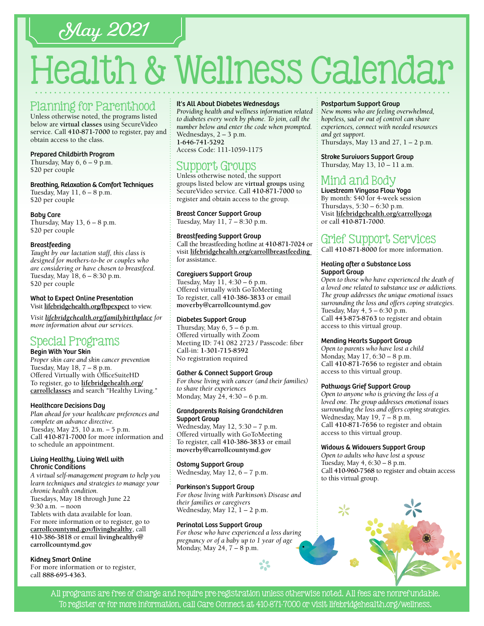# May 2021

# Health & Wellness Calendar

### Planning for Parenthood

Unless otherwise noted, the programs listed below are **virtual classes** using SecureVideo service. Call **[410-871-7000](tel:4108717000)** to register, pay and obtain access to the class.

#### Prepared Childbirth Program

Thursday, May  $6, 6 - 9$  p.m. \$20 per couple

#### Breathing, Relaxation & Comfort Techniques

Tuesday, May  $11, 6 - 8$  p.m. \$20 per couple

#### Baby Care

Thursday, May  $13, 6 - 8$  p.m. \$20 per couple

#### **Breastfeeding**

*Taught by our lactation staff, this class is designed for mothers-to-be or couples who are considering or have chosen to breastfeed.* Tuesday, May 18, 6 – 8:30 p.m. \$20 per couple

#### What to Expect Online Presentation Visit **[lifebridgehealth.org/fbpexpect](http://www.lifebridgehealth.org/fbpexpect)** to view.

*Visit l[ifebridgehealth.org/familybirthplace](http://www.lifebridgehealth.org/familybirthplace) for more information about our services.*

## Special Programs

#### Begin With Your Skin

*Proper skin care and skin cancer prevention* Tuesday, May 18, 7 – 8 p.m. Offered Virtually with OfficeSuiteHD To register, go to **[lifebridgehealth.org/](https://www.lifebridgehealth.org/Carroll/SearchforClassesPrograms.aspx) [carrollclasses](https://www.lifebridgehealth.org/Carroll/SearchforClassesPrograms.aspx)** and search "Healthy Living."

#### Healthcare Decisions Day

*Plan ahead for your healthcare preferences and complete an advance directive.* Tuesday, May 25, 10 a.m. – 5 p.m. Call **[410-871-7000](tel:4108717000)** for more information and to schedule an appointment.

#### Living Healthy, Living Well with Chronic Conditions

*A virtual self-management program to help you learn techniques and strategies to manage your chronic health condition.* Tuesdays, May 18 through June 22 9:30 a.m. – noon Tablets with data available for loan. For more information or to register, go to

**[carrollcountymd.gov/livinghealthy](https://www.carrollcountymd.gov/livinghealthy)**, call **[410-386-3818](tel:4103863818)** or email **[livinghealthy@](mailto:livinghealthy@carrollcountymd.gov) [carrollcountymd.gov](mailto:livinghealthy@carrollcountymd.gov)**

#### Kidney Smart Online

For more information or to register, call **88[8-695-4](tel:8886954363)363.**

#### It's All About Diabetes Wednesdays

*Providing health and wellness information related to diabetes every week by phone. To join, call the number below and enter the code when prompted.* Wednesdays, 2 – 3 p.m. **[1-646-741-5292](tel:16467415292)** Access Code: 111-1059-1175

# Support Groups

Unless otherwise noted, the support groups listed below are **virtual groups** using SecureVideo service. Call **[410-871-7000](tel:4108717000)** to register and obtain access to the group.

#### Breast Cancer Support Group

Tuesday, May 11, 7 – 8:30 p.m.

#### Breastfeeding Support Group

Call the breastfeeding hotline at **[410-871-7024](tel:4108717024)** or visit **[lifebridgehealth.org/carrollbreastfeeding](http://www.lifebridgehealth.org/CarrollBreastfeeding)**  for assistance.

#### Caregivers Support Group

Tuesday, May 11, 4:30 – 6 p.m. Offered virtually with GoToMeeting To register, call **[410-386-3833](tel:4103863833)** or email **[moverby@carrollcountymd.gov](mailto:moverby%40carrollcountymd.gov?subject=)**

#### Diabetes Support Group

Thursday, May  $6, 5 - 6$  p.m. Offered virtually with Zoom Meeting ID: 741 082 2723 / Passcode: fiber Call-in: **[1-301-715-8592](tel:13017158592)** No registration required

#### Gather & Connect Support Group

*For those living with cancer (and their families) to share their experiences* Monday, May 24, 4:30 – 6 p.m.

#### Grandparents Raising Grandchildren Support Group

Wednesday, May 12, 5:30 – 7 p.m. Offered virtually with GoToMeeting To register, call **[410-386-3833](tel:4103863833)** or email **[moverby@carrollcountymd.gov](mailto:moverby%40carrollcountymd.gov?subject=)**

#### Ostomy Support Group

Wednesday, May 12, 6 – 7 p.m.

#### Parkinson's Support Group

*For those living with Parkinson's Disease and their families or caregivers* Wednesday, May  $12, 1 - 2$  p.m.

#### Perinatal Loss Support Group

*For those who have experienced a loss during pregnancy or of a baby up to 1 year of age* Monday, May 24, 7 – 8 p.m.

#### Postpartum Support Group

*New moms who are feeling overwhelmed, hopeless, sad or out of control can share experiences, connect with needed resources and get support.*

Thursdays, May 13 and  $27$ ,  $1 - 2$  p.m.

Stroke Survivors Support Group Thursday, May 13, 10 – 11 a.m.

# Mind and Body

Livestream Vinyasa Flow Yoga By month: \$40 for 4-week session Thursdays, 5:30 – 6:30 p.m. Visit **[lifebridgehealth.org/carrollyoga](http://www.lifebridgehealth.org/carrollyoga)** or call **[410-871-7000](tel:4108717000)**.

## Grief Support Services

Call **[410-871-8000](tel:4108718000)** for more information.

#### Healing after a Substance Loss Support Group

*Open to those who have experienced the death of a loved one related to substance use or addictions. The group addresses the unique emotional issues surrounding the loss and offers coping strategies.* Tuesday, May 4, 5 – 6:30 p.m. Call **[443-875-8763](tel:4438758763)** to register and obtain access to this virtual group.

#### Mending Hearts Support Group

*Open to parents who have lost a child* Monday, May 17, 6:30 – 8 p.m. Call **[410-871-7](tel:4108717656 )656** to register and obtain access to this virtual group.

#### Pathways Grief Support Group

*Open to anyone who is grieving the loss of a loved one. The group addresses emotional issues surrounding the loss and offers coping strategies.* Wednesday, May 19, 7 - 8 p.m. Call **[410-871-7656](tel:4108717656)** to register and obtain access to this virtual group.

#### Widows & Widowers Support Group

*Open to adults who have lost a spouse* Tuesday, May 4, 6:30 – 8 p.m. Call **[410-960-7568](tel:4109607568)** to register and obtain access to this virtual group.



All programs are free of charge and require pre-registration unless otherwise noted. All fees are nonrefundable. To register or for more information, call Care Connect at [410-871-7000](tel:4108717000) or visit [lifebridgehealth.org/wellness.](https://www.lifebridgehealth.org/Carroll/CarrollHospitalTevisCenterforWellness.aspx)